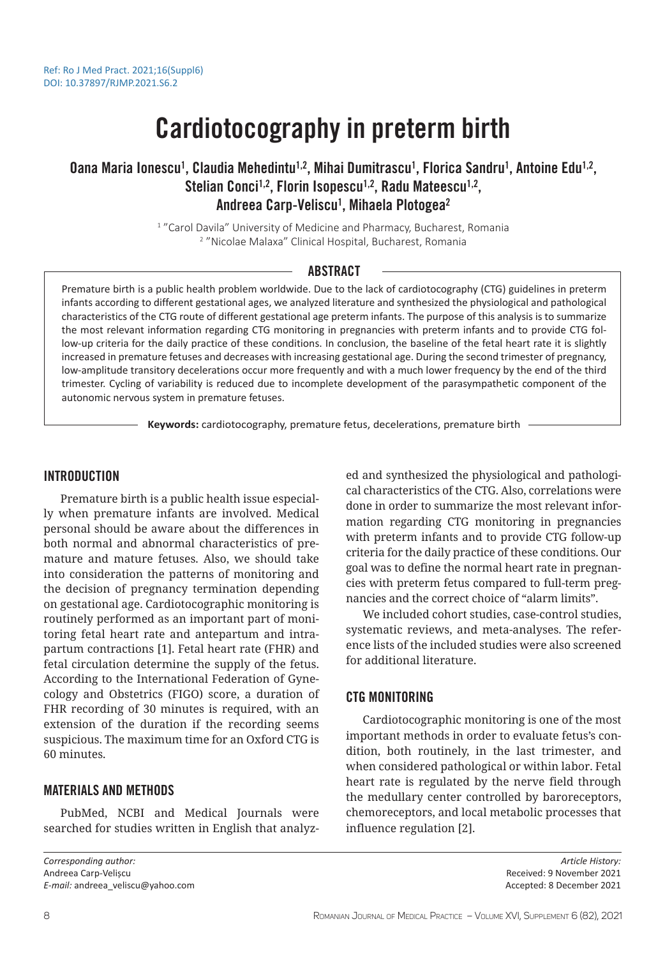# Cardiotocography in preterm birth

# 0ana Maria Ionescu<sup>1</sup>, Claudia Mehedintu<sup>1,2</sup>, Mihai Dumitrascu<sup>1</sup>, Florica Sandru<sup>1</sup>, Antoine Edu<sup>1,2</sup>, Stelian Conci<sup>1,2</sup>, Florin Isopescu<sup>1,2</sup>, Radu Mateescu<sup>1,2</sup>, Andreea Carp-Veliscu<sup>1</sup>, Mihaela Plotogea<sup>2</sup>

<sup>1</sup> "Carol Davila" University of Medicine and Pharmacy, Bucharest, Romania 2 "Nicolae Malaxa" Clinical Hospital, Bucharest, Romania

# ABSTRACT

Premature birth is a public health problem worldwide. Due to the lack of cardiotocography (CTG) guidelines in preterm infants according to different gestational ages, we analyzed literature and synthesized the physiological and pathological characteristics of the CTG route of different gestational age preterm infants. The purpose of this analysis is to summarize the most relevant information regarding CTG monitoring in pregnancies with preterm infants and to provide CTG follow-up criteria for the daily practice of these conditions. In conclusion, the baseline of the fetal heart rate it is slightly increased in premature fetuses and decreases with increasing gestational age. During the second trimester of pregnancy, low-amplitude transitory decelerations occur more frequently and with a much lower frequency by the end of the third trimester. Cycling of variability is reduced due to incomplete development of the parasympathetic component of the autonomic nervous system in premature fetuses.

**Keywords:** cardiotocography, premature fetus, decelerations, premature birth

#### INTRODUCTION

Premature birth is a public health issue especially when premature infants are involved. Medical personal should be aware about the differences in both normal and abnormal characteristics of premature and mature fetuses. Also, we should take into consideration the patterns of monitoring and the decision of pregnancy termination depending on gestational age. Cardiotocographic monitoring is routinely performed as an important part of monitoring fetal heart rate and antepartum and intrapartum contractions [1]. Fetal heart rate (FHR) and fetal circulation determine the supply of the fetus. According to the International Federation of Gynecology and Obstetrics (FIGO) score, a duration of FHR recording of 30 minutes is required, with an extension of the duration if the recording seems suspicious. The maximum time for an Oxford CTG is 60 minutes.

#### MATERIALS AND METHODS

PubMed, NCBI and Medical Journals were searched for studies written in English that analyz-

*Corresponding author:*  Andreea Carp-Velișcu *E-mail:* andreea\_veliscu@yahoo.com ed and synthesized the physiological and pathological characteristics of the CTG. Also, correlations were done in order to summarize the most relevant information regarding CTG monitoring in pregnancies with preterm infants and to provide CTG follow-up criteria for the daily practice of these conditions. Our goal was to define the normal heart rate in pregnancies with preterm fetus compared to full-term pregnancies and the correct choice of "alarm limits".

We included cohort studies, case-control studies, systematic reviews, and meta-analyses. The reference lists of the included studies were also screened for additional literature.

# CTG MONITORING

Cardiotocographic monitoring is one of the most important methods in order to evaluate fetus's condition, both routinely, in the last trimester, and when considered pathological or within labor. Fetal heart rate is regulated by the nerve field through the medullary center controlled by baroreceptors, chemoreceptors, and local metabolic processes that influence regulation [2].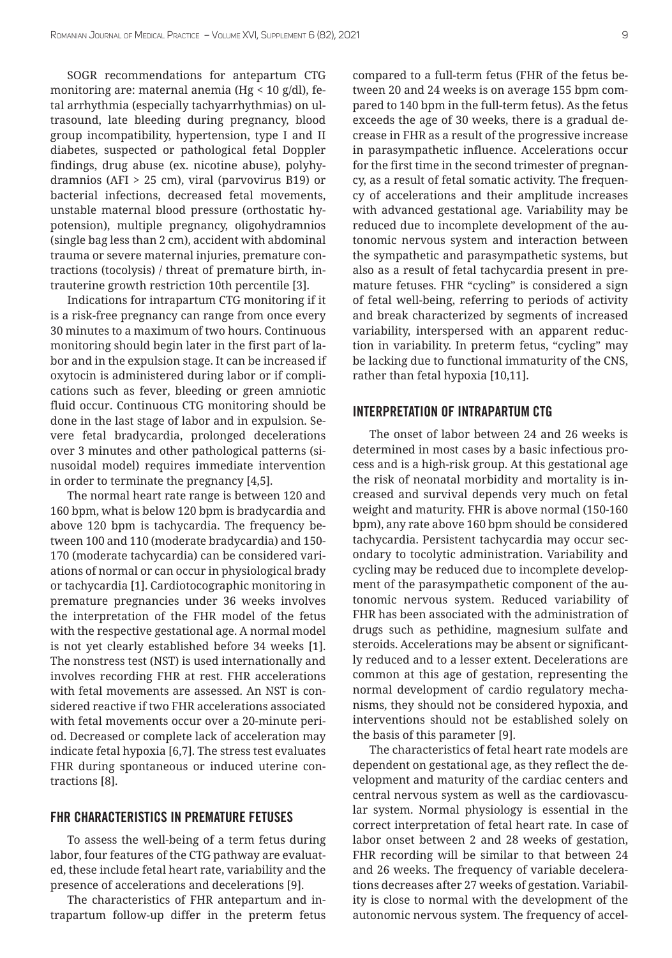SOGR recommendations for antepartum CTG monitoring are: maternal anemia (Hg <  $10$  g/dl), fetal arrhythmia (especially tachyarrhythmias) on ultrasound, late bleeding during pregnancy, blood group incompatibility, hypertension, type I and II diabetes, suspected or pathological fetal Doppler findings, drug abuse (ex. nicotine abuse), polyhydramnios (AFI > 25 cm), viral (parvovirus B19) or bacterial infections, decreased fetal movements, unstable maternal blood pressure (orthostatic hypotension), multiple pregnancy, oligohydramnios (single bag less than 2 cm), accident with abdominal trauma or severe maternal injuries, premature contractions (tocolysis) / threat of premature birth, intrauterine growth restriction 10th percentile [3].

Indications for intrapartum CTG monitoring if it is a risk-free pregnancy can range from once every 30 minutes to a maximum of two hours. Continuous monitoring should begin later in the first part of labor and in the expulsion stage. It can be increased if oxytocin is administered during labor or if complications such as fever, bleeding or green amniotic fluid occur. Continuous CTG monitoring should be done in the last stage of labor and in expulsion. Severe fetal bradycardia, prolonged decelerations over 3 minutes and other pathological patterns (sinusoidal model) requires immediate intervention in order to terminate the pregnancy [4,5].

The normal heart rate range is between 120 and 160 bpm, what is below 120 bpm is bradycardia and above 120 bpm is tachycardia. The frequency between 100 and 110 (moderate bradycardia) and 150- 170 (moderate tachycardia) can be considered variations of normal or can occur in physiological brady or tachycardia [1]. Cardiotocographic monitoring in premature pregnancies under 36 weeks involves the interpretation of the FHR model of the fetus with the respective gestational age. A normal model is not yet clearly established before 34 weeks [1]. The nonstress test (NST) is used internationally and involves recording FHR at rest. FHR accelerations with fetal movements are assessed. An NST is considered reactive if two FHR accelerations associated with fetal movements occur over a 20-minute period. Decreased or complete lack of acceleration may indicate fetal hypoxia [6,7]. The stress test evaluates FHR during spontaneous or induced uterine contractions [8].

### FHR CHARACTERISTICS IN PREMATURE FETUSES

To assess the well-being of a term fetus during labor, four features of the CTG pathway are evaluated, these include fetal heart rate, variability and the presence of accelerations and decelerations [9].

The characteristics of FHR antepartum and intrapartum follow-up differ in the preterm fetus compared to a full-term fetus (FHR of the fetus between 20 and 24 weeks is on average 155 bpm compared to 140 bpm in the full-term fetus). As the fetus exceeds the age of 30 weeks, there is a gradual decrease in FHR as a result of the progressive increase in parasympathetic influence. Accelerations occur for the first time in the second trimester of pregnancy, as a result of fetal somatic activity. The frequency of accelerations and their amplitude increases with advanced gestational age. Variability may be reduced due to incomplete development of the autonomic nervous system and interaction between the sympathetic and parasympathetic systems, but also as a result of fetal tachycardia present in premature fetuses. FHR "cycling" is considered a sign of fetal well-being, referring to periods of activity and break characterized by segments of increased variability, interspersed with an apparent reduction in variability. In preterm fetus, "cycling" may be lacking due to functional immaturity of the CNS, rather than fetal hypoxia [10,11].

#### INTERPRETATION OF INTRAPARTUM CTG

The onset of labor between 24 and 26 weeks is determined in most cases by a basic infectious process and is a high-risk group. At this gestational age the risk of neonatal morbidity and mortality is increased and survival depends very much on fetal weight and maturity. FHR is above normal (150-160 bpm), any rate above 160 bpm should be considered tachycardia. Persistent tachycardia may occur secondary to tocolytic administration. Variability and cycling may be reduced due to incomplete development of the parasympathetic component of the autonomic nervous system. Reduced variability of FHR has been associated with the administration of drugs such as pethidine, magnesium sulfate and steroids. Accelerations may be absent or significantly reduced and to a lesser extent. Decelerations are common at this age of gestation, representing the normal development of cardio regulatory mechanisms, they should not be considered hypoxia, and interventions should not be established solely on the basis of this parameter [9].

The characteristics of fetal heart rate models are dependent on gestational age, as they reflect the development and maturity of the cardiac centers and central nervous system as well as the cardiovascular system. Normal physiology is essential in the correct interpretation of fetal heart rate. In case of labor onset between 2 and 28 weeks of gestation, FHR recording will be similar to that between 24 and 26 weeks. The frequency of variable decelerations decreases after 27 weeks of gestation. Variability is close to normal with the development of the autonomic nervous system. The frequency of accel